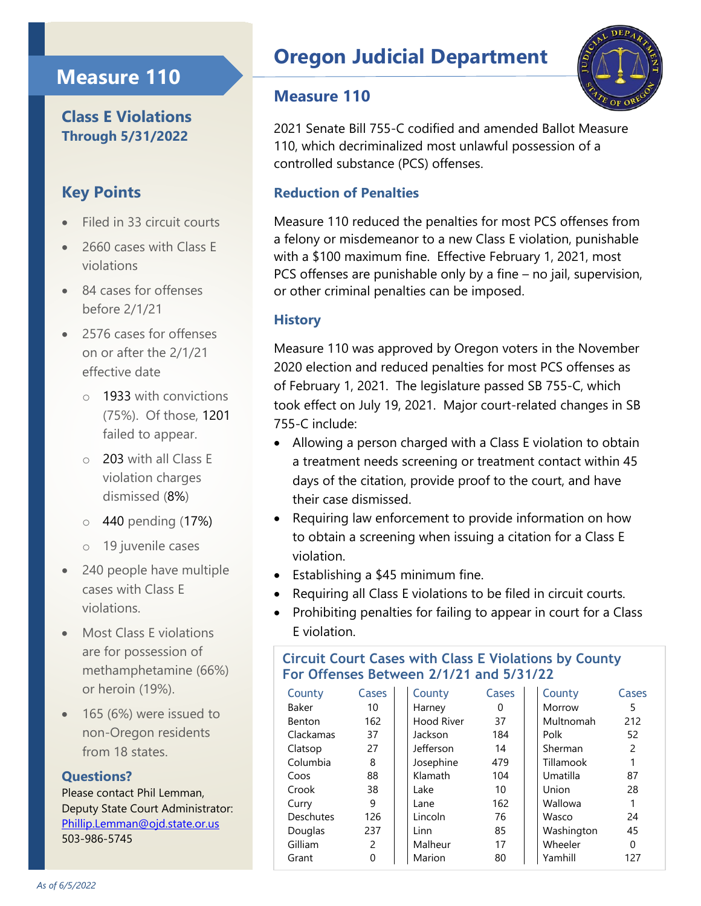## **Measure 110**

## **Class E Violations Through 5/31/2022**

## **Key Points**

- Filed in 33 circuit courts
- 2660 cases with Class E violations
- 84 cases for offenses before 2/1/21
- 2576 cases for offenses on or after the 2/1/21 effective date
	- o 1933 with convictions (75%). Of those, 1201 failed to appear.
	- o 203 with all Class E violation charges dismissed (8%)
	- o 440 pending (17%)
	- o 19 juvenile cases
- 240 people have multiple cases with Class E violations.
- Most Class E violations are for possession of methamphetamine (66%) or heroin (19%).
- 165 (6%) were issued to non-Oregon residents from 18 states

#### **Questions?**

Please contact Phil Lemman, Deputy State Court Administrator: [Phillip.Lemman@ojd.state.or.us](mailto:Phillip.Lemman@ojd.state.or.us) 503-986-5745

# **Oregon Judicial Department**

### **Measure 110**



2021 Senate Bill 755-C codified and amended Ballot Measure 110, which decriminalized most unlawful possession of a controlled substance (PCS) offenses.

#### **Reduction of Penalties**

Measure 110 reduced the penalties for most PCS offenses from a felony or misdemeanor to a new Class E violation, punishable with a \$100 maximum fine. Effective February 1, 2021, most PCS offenses are punishable only by a fine – no jail, supervision, or other criminal penalties can be imposed.

#### **History**

Measure 110 was approved by Oregon voters in the November 2020 election and reduced penalties for most PCS offenses as of February 1, 2021. The legislature passed SB 755-C, which took effect on July 19, 2021. Major court-related changes in SB 755-C include:

- Allowing a person charged with a Class E violation to obtain a treatment needs screening or treatment contact within 45 days of the citation, provide proof to the court, and have their case dismissed.
- Requiring law enforcement to provide information on how to obtain a screening when issuing a citation for a Class E violation.
- Establishing a \$45 minimum fine.
- Requiring all Class E violations to be filed in circuit courts.
- Prohibiting penalties for failing to appear in court for a Class E violation.

#### **Circuit Court Cases with Class E Violations by County For Offenses Between 2/1/21 and 5/31/22**

| County    | Cases | County            | Cases | County     | Cases |
|-----------|-------|-------------------|-------|------------|-------|
| Baker     | 10    | Harney            | 0     | Morrow     | 5     |
| Benton    | 162   | <b>Hood River</b> | 37    | Multnomah  | 212   |
| Clackamas | 37    | Jackson           | 184   | Polk       | 52    |
| Clatsop   | 27    | Jefferson         | 14    | Sherman    | 2     |
| Columbia  | 8     | Josephine         | 479   | Tillamook  | 1     |
| Coos      | 88    | Klamath           | 104   | Umatilla   | 87    |
| Crook     | 38    | Lake              | 10    | Union      | 28    |
| Curry     | 9     | Lane              | 162   | Wallowa    |       |
| Deschutes | 126   | Lincoln           | 76    | Wasco      | 24    |
| Douglas   | 237   | Linn              | 85    | Washington | 45    |
| Gilliam   | 2     | Malheur           | 17    | Wheeler    | 0     |
| Grant     | 0     | Marion            | 80    | Yamhill    | 127   |